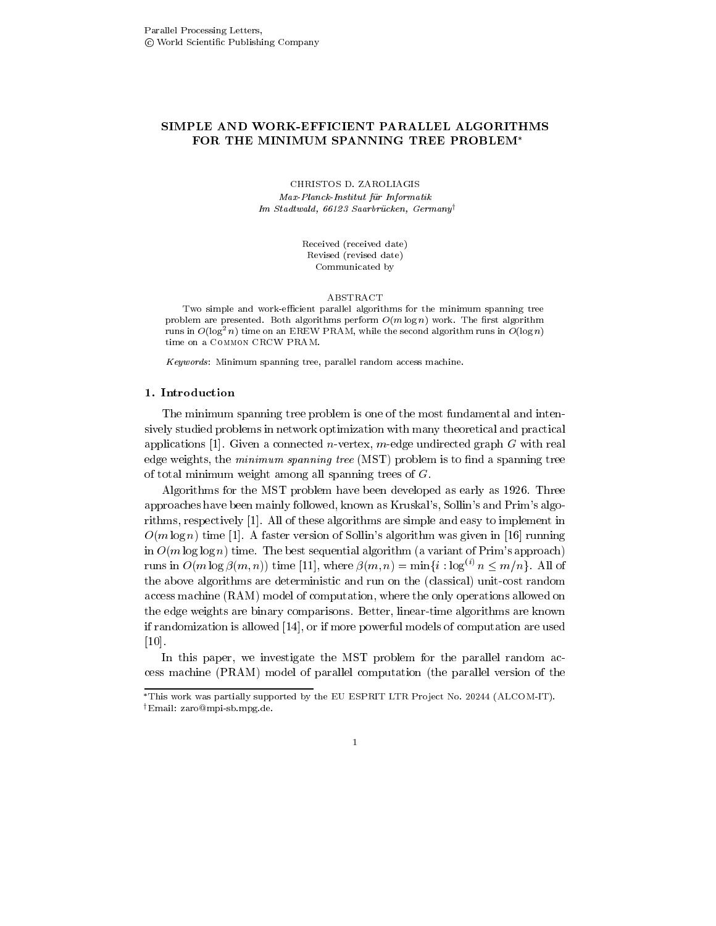# SIMPLE AND WORK-EFFICIENT PARALLEL ALGORITHMS FOR THE MINIMUM SPANNING TREE PROBLEM\*

Max-Planck-Institut für Informatik Im Stadtwald- Saarbrucken- Germany<sup>y</sup>

> Received (received date) Revised (revised date) Communicated by

#### ABSTRACT

Two simple and work-efficient parallel algorithms for the minimum spanning tree problem are presented-better algorithmic perform of the range of algorithms and workruns in  $O(\log^2 n)$  time on an EREW PRAM, while the second algorithm runs in  $O(\log n)$ time on a COMMON CRCW PRAM.

 $Keywords:$  Minimum spanning tree, parallel random access machine.

The minimum spanning tree problem is one of the most fundamental and inten sively studied problems in network optimization with many theoretical and practical applications - given a connected medicine, which a connected graph G with real connections of the connected gra edge weights, the *minimum spanning tree* (MST) problem is to find a spanning tree of total minimum weight among all spanning trees of  $G$ .

Algorithms for the MST problem have been developed as early as - Three approaches have been mainly followed, known as Kruskal's, Sollin's and Prim's algorithms respectively - Protective and these algorithms are simple and easy to implement in the complete  $\mathbf{r}$ Om log n time - A faster version of Sollins algorithm was given in - running in  $O(m \log \log n)$  time. The best sequential algorithm (a variant of Prim's approach) runs in  $O(m \log \beta(m, n))$  time [11], where  $\beta(m, n) = \min\{i : \log^{(i)} n \le m/n\}$ . All of the above algorithms are deterministic and run on the (classical) unit-cost random access machine (RAM) model of computation, where the only operations allowed on the edge weights are binary comparisons. Better, linear-time algorithms are known if the computation is allowed a powerful models of computation are used to computation are used to the computa -

In this paper, we investigate the MST problem for the parallel random access machine (PRAM) model of parallel computation (the parallel version of the

 $\mathbf{1}$ 

This work was partially supported by the EU ESPRIT LIR Project No. 20244 (ALCOM-IT). email: zarowmpi-sp.mpg.ue.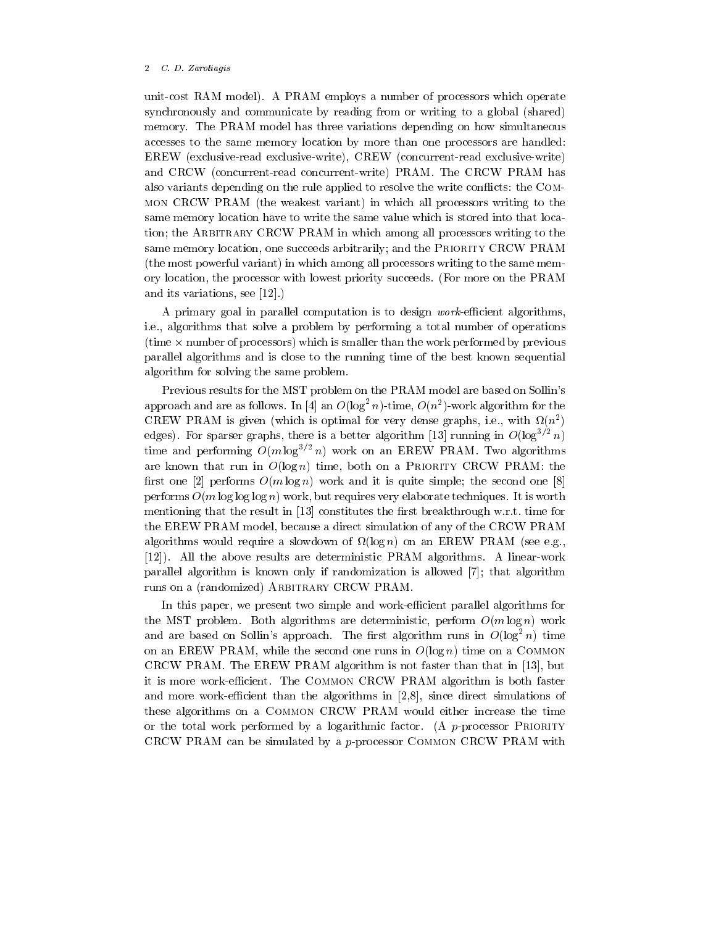#### 2 C.D. Zaroliagis

unit-cost RAM model). A PRAM employs a number of processors which operate synchronously and communicate by reading from or writing to a global (shared) memory The PRAM model has three variations depending on how simultaneous accesses to the same memory location by more than one processors are handled  $EREW$  (exclusive-read exclusive-write),  $CREW$  (concurrent-read exclusive-write) and CRCW (concurrent-read concurrent-write) PRAM. The CRCW PRAM has also variants depending on the rule applied to resolve the write conflicts: the COMmon CRCW PRAM (the weakest variant) in which all processors writing to the same memory location have to write the same value which is stored into that loca tion; the ARBITRARY CRCW PRAM in which among all processors writing to the same memory location, one succeeds arbitrarily; and the PRIORITY CRCW PRAM (the most powerful variant) in which among all processors writing to the same memory location, the processor with lowest priority succeeds. (For more on the PRAM and its variations seems to be a property of the set of the set of the second second second second second second second second second second second second second second second second second second second second second seco

A primary goal in parallel computation is to design *work*-efficient algorithms, i.e., algorithms that solve a problem by performing a total number of operations  $t_{\text{time}} \times$  number of processors) which is smaller than the work performed by previous parallel algorithms and is close to the running time of the best known sequential algorithm for solving the same problem

Previous results for the MST problem on the PRAM model are based on Sollin's approach and are as follows. In [4] an  $O(\log^2 n)$ -time,  $O(n^2)$ -work algorithm for the CREW PRAM is given (which is optimal for very dense graphs, i.e., with  $u(n^-)$ edges). For sparser graphs, there is a better algorithm [13] running in  $O(\log^{3} \epsilon n)$ time and performing  $O(m \log^{-1} n)$  work on an EREW PRAM. Two algorithms are known that run in  $O(\log n)$  time, both on a PRIORITY CRCW PRAM: the rst one performs Om log n work and it is quite simple the second one performs  $O(m \log \log n)$  work, but requires very elaborate techniques. It is worth mentioning that the result in - constitutes the rst breakthrough wrt time for the EREW PRAM model, because a direct simulation of any of the CRCW PRAM algorithms would require a slowdown of  $\Omega(\log n)$  on an EREW PRAM (see e.g. , all the above results are determined the above results are determined to the control of the control of the c parallel algorithm is known only if randomization is allowed  $[7]$ ; that algorithm runs on a (randomized) ARBITRARY CRCW PRAM.

In this paper, we present two simple and work-efficient parallel algorithms for the MST problem. Both algorithms are deterministic, perform  $O(m \log n)$  work and are based on Sollin's approach. The first algorithm runs in  $O(\log^2 n)$  time on an EREW PRAM, while the second one runs in  $O(\log n)$  time on a COMMON CRCW II – AUCHIN – AND MANH IS NOTHING IN ALGORITHM IS NOT THAT IN ALGORITHM IS NOT THE LATE IN  $\mathcal{L}$ it is more work-efficient. The COMMON CRCW PRAM algorithm is both faster and more worker than the algorithms in algorithmic in  $\vert$  in  $\vert$  , where directions of the algorithms in these algorithms on a Common CRCW PRAM would either increase the time or the total work performed by a logarithmic factor. (A  $p$ -processor PRIORITY CRCW PRAM can be simulated by a pprocessor Common CRCW PRAM with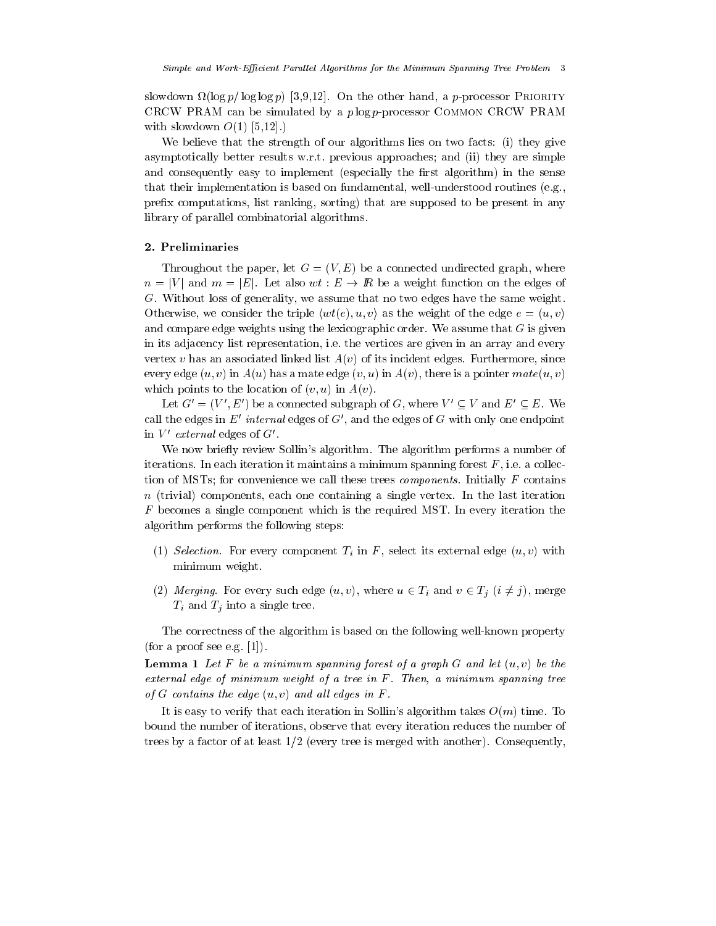sion is a property for property on the other manner  $\mu$  processor Priority  $\mu$ CRCW PRAM can be simulated by a  $p \log p$ -processor COMMON CRCW PRAM with slowly of the slowly of the slowly slowly slowly slowly slowly slowly slowly slowly slowly slowly slowly slowly slowly slowly slowly slowly slowly slowly slowly slowly slowly slowly slowly slowly slowly slowly slowly

We believe that the strength of our algorithms lies on two facts: (i) they give asymptotically better results w.r.t. previous approaches; and (ii) they are simple and consequently easy to implement (especially the first algorithm) in the sense that their implementation is based on fundamental, well-understood routines (e.g., prefix computations, list ranking, sorting) that are supposed to be present in any library of parallel combinatorial algorithms

# 2. Preliminaries

Throughout the paper, let  $G = (V, E)$  be a connected undirected graph, where  $n = |V|$  and  $m = |E|$ . Let also  $wt : E \to \mathbb{R}$  be a weight function on the edges of  $G$ . Without loss of generality, we assume that no two edges have the same weight. Otherwise, we consider the triple  $\langle wt(e), u, v \rangle$  as the weight of the edge  $e = (u, v)$ and compare edge weights using the lexicographic order. We assume that  $G$  is given in its adjacency list representation, i.e. the vertices are given in an array and every vertex v has an associated linked list  $A(v)$  of its incident edges. Furthermore, since every edge  $(u, v)$  in  $A(u)$  has a mate edge  $(v, u)$  in  $A(v)$ , there is a pointer  $mate(u, v)$ which points to the location of  $(v, u)$  in  $A(v)$ .

Let  $G' = (V', E')$  be a connected subgraph of G, where  $V' \subseteq V$  and  $E' \subseteq E$ . We call the edges in  $E'$  internal edges of  $G'$ , and the edges of G with only one endpoint in  $V'$  external edges of  $G'$ .

We now briefly review Sollin's algorithm. The algorithm performs a number of iterations. In each iteration it maintains a minimum spanning forest  $F$ , i.e. a collection of MSTs; for convenience we call these trees *components*. Initially  $F$  contains  $n$  (trivial) components, each one containing a single vertex. In the last iteration  $F$  becomes a single component which is the required MST. In every iteration the algorithm performs the following steps

- $\mathcal{S} = \{ \mathcal{S} \mid \mathcal{S} \text{ is a non-} \}$  component  $\mathcal{S} = \{ \mathcal{S} \text{ is a non-} \}$  . The value of  $\mathcal{S} = \{ \mathcal{S} \text{ is a non-} \}$ minimum weight
- (2) Merging. For every such edge  $(u, v)$ , where  $u \in T_i$  and  $v \in T_j$   $(i \neq j)$ , merge  $T_i$  and  $T_j$  into a single tree.

The correctness of the algorithm is based on the following well-known property for a proof see equation of  $\mathbf{f}$  and  $\mathbf{f}$  are equations of  $\mathbf{f}$ 

**Lemma 1** Let F be a minimum spanning forest of a graph G and let  $(u, v)$  be the external edge of minimum weight of a tree in  $F$ . Then, a minimum spanning tree of G contains the edge  $(u, v)$  and all edges in F.

It is easy to verify that each iteration in Sollin's algorithm takes  $O(m)$  time. To bound the number of iterations, observe that every iteration reduces the number of trees by a factor of at least - at least - at least - at least - at least - at least - at least - at least - a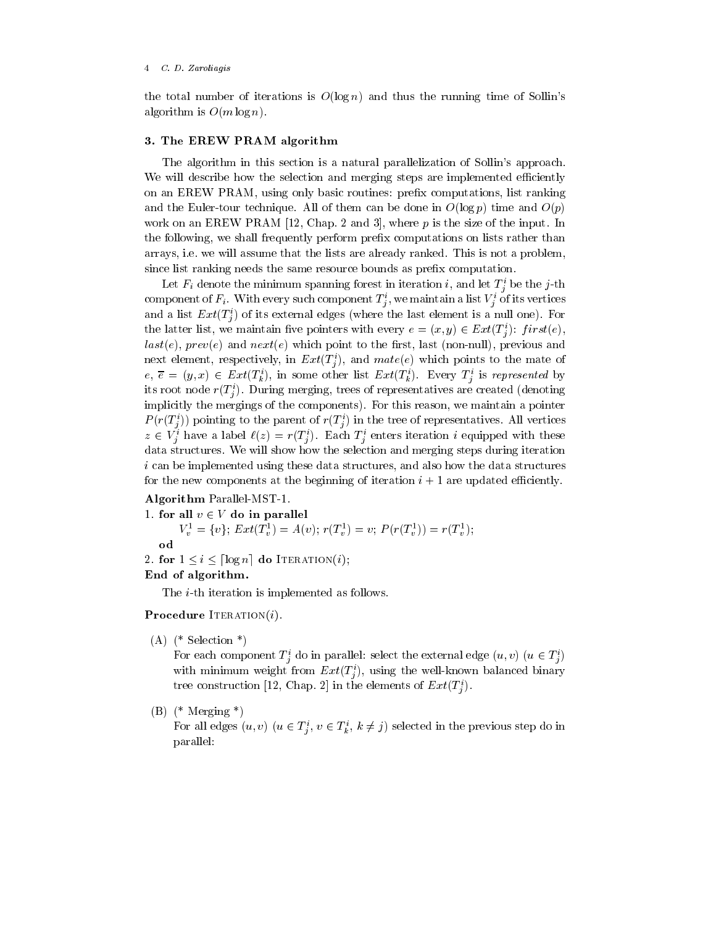#### C D Zaroliagis

the total number of iterations is  $O(\log n)$  and thus the running time of Sollin's algorithm is  $O(m \log n)$ .

## - The EREW PRAM algorithm

The algorithm in this section is a natural parallelization of Sollin's approach. We will describe how the selection and merging steps are implemented efficiently on an EREW PRAM, using only basic routines: prefix computations, list ranking and the Euler-tour technique. All of them can be done in  $O(\log p)$  time and  $O(p)$ work on an EREW PRAME - The input Input Input Input Input Input Input Input Input Input Input Input Input Input the following, we shall frequently perform prefix computations on lists rather than arrays, i.e. we will assume that the lists are already ranked. This is not a problem, since list ranking needs the same resource bounds as prefix computation.

Let  $F_i$  denote the minimum spanning forest in iteration  $i$ , and let  $T_i$  be the *j*-th component of  $F_i$  . With every such component  $T_j$  , we maintain a list  $V_j$  of its vertices and a list  $Ext(T_i)$  of its external edges (where the last element is a null one). For the latter list, we maintain five pointers with every  $e = (x, y) \in Ext(T_i^c)$ :  $first(e)$ ,  $last(e)$ ,  $prev(e)$  and  $next(e)$  which point to the first, last (non-null), previous and next element, respectively, in  $Ext(T_i)$ , and  $mate(e)$  which points to the mate of  $e, \overline{e} = (y, x) \in Ext(T_k^s),$  in some other list  $Ext(T_k^s)$ . Every  $T_j^s$  is represented by its root node  $r(T_j)$ . During merging, trees of representatives are created (denoting implicitly the mergings of the components). For this reason, we maintain a pointer  $P(T(T_j))$  pointing to the parent of  $T(T_j)$  in the tree of representatives. All vertices  $z \in V_i^*$  have a label  $\ell(z) = r(T_i^*)$ . Each  $T_i^*$  enters iteration i equipped with these data structures We will show how the selection and merging steps during iteration i can be implemented using these data structures, and also how the data structures for the new components at the beginning of iteration i - are updated eciently

## Algorithm Parallel-MST-1.

```
1 for all v \in V do in parallel
       V_v^1 = \{v\}; Ext(T_v^1) = A(v); r(T_v^1) = v; P(r(T_v^1)) = r(T_v^1);od
2. for 1 \leq i \leq \lceil \log n \rceil do Iteration(i);
```
# End of algorithm-

The  $i$ -th iteration is implemented as follows.

Procedure Iterationi-

 $(A)$  (\* Selection \*)

For each component  $T_i^*$  do in parallel: select the external edge  $(u, v)$   $(u \in T_i^*)$ with minimum weight from  $Ext(T_j)$ , using the well-known balanced binary tree construction [12, Chap. 2] in the elements of  $Ext(T_i)$ .

# $(B)$  (\* Merging \*)

For all edges  $(u, v) \; (u \in T_j^i, \, v \in T_k^i, \, k \neq j)$  selected in the previous step do in parallel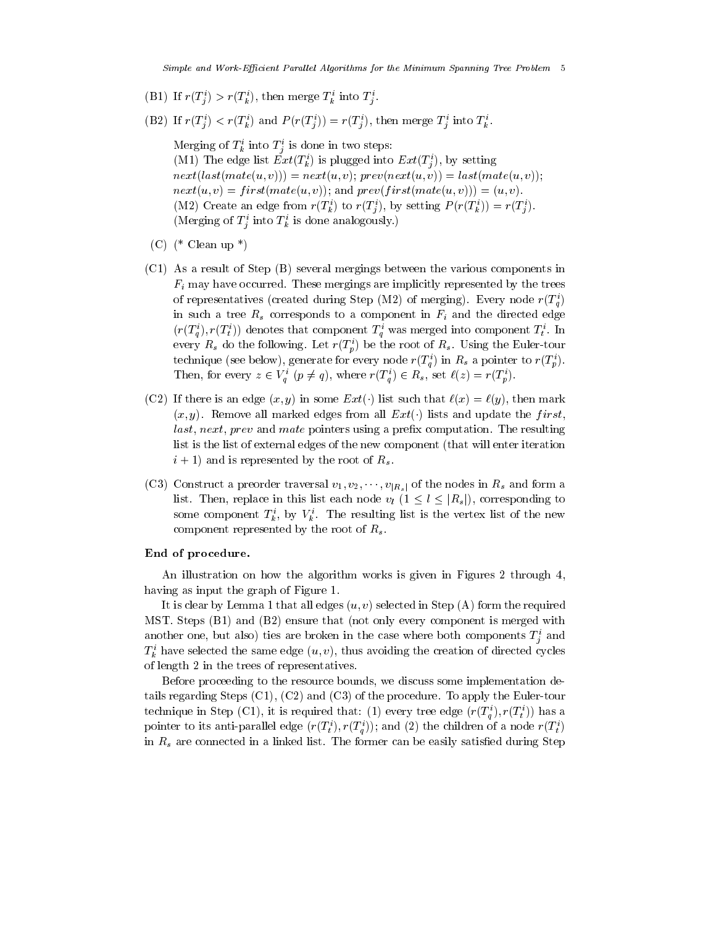j

- (BI) If  $r(T_i) > r(T_k)$ , then merge  $T_k$  into  $T_i$ .
- (BZ) If  $r(T_j) \leq r(T_k)$  and  $P(r(T_j)) = r(T_j)$ , then merge  $T_j$  into  $T_k$ .

Merging of  $T_k^i$  into  $T_j^i$  is done in two steps: j (MT) The edge list  $Ext(I_k)$  is plugged into  $Ext(I_j)$ , by setting  $nextlast(mate(u, v))) = next(u, v); prev(next(u, v)) = last(mate(u, v));$  $next(u, v) = first(mate(u, v));$  and  $prev(first(mate(u, v))) = (u, v).$ (MZ) Create an edge from  $r(i_k)$  to  $r(i_j)$ , by setting  $P(r(i_k)) = r(i_j)$ . (merging of  $T_j$  find  $T_k$  is done analogously.)

- $(C)$  (\* Clean up \*)
- C- As a result of Step B several mergings between the various components in  $F_i$  may have occurred. These mergings are implicitly represented by the trees of representatives (created during Step (M2) of merging). Every node  $r(T_a)$ in such a tree  $R_s$  corresponds to a component in  $F_i$  and the directed edge  $(r(\mathcal{I}_q), r(\mathcal{I}_t))$  denotes that component  $\mathcal{I}_q$  was merged into component  $\mathcal{I}_t$ . In every  $R_s$  do the following. Let  $r(T_p^i)$  be the root of  $R_s$ . Using the Euler-tour technique (see below), generate for every node  $r(T_a^i)$  in  $R_s$  a pointer to  $r(T_a^i)$ . Then, for every  $z \in V_q^i$   $(p \neq q)$ , where  $r(T_q^i) \in R_s$ , set  $\ell(z) = r(T_p^i)$ .
- (CZ) If there is an edge  $(x, y)$  in some  $Ext(y)$  ist such that  $\iota(x) = \iota(y)$ , then mark  $(x, y)$ . Remove all marked edges from all  $Ext(\cdot)$  lists and update the first.  $last, next, prev$  and mate pointers using a prefix computation. The resulting list is the list of external edges of the new component (that will enter iteration i die and is represented by the root of  $\alpha$
- (CJ) Construct a preorder traversal  $v_1, v_2, \cdots, v_{|R_s|}$  or the nodes in  $R_s$  and form a list. Then, replace in this list each node  $v_l$   $(1 \leq l \leq |R_s|)$ , corresponding to some component  $I_k$ , by  $V_k$ . The resulting list is the vertex list of the new component represented by the root of  $R_s$ .

## End of procedure-

 $\mathbf{A}$  is given in Figures is given in Figures is given in Figures is given in Figures is given in Figures in Figures . having as input the graph of Figure -  $\sim$ 

It is clear by Lemma - that all edges u v selected in Step A form the required  $\mathcal{L}$  . The steps  $\mathcal{L}$  and  $\mathcal{L}$  and  $\mathcal{L}$  and  $\mathcal{L}$  . The steps is merged with  $\mathcal{L}$ another one, but also) thes are broken in the case where both components  $T_{\hat{i}}$  and  $T_k$  have selected the same edge  $(u, v)$ , thus avoiding the creation of directed cycles of length in the trees of representatives

Before proceeding to the resource bounds, we discuss some implementation details regarding steps ( - - ); ( - - ) and c ( - - ) are the procedure To apply the C-C-C-C-C-C-C-C-C-C-C-C-Ctechnique in Step (CT), it is required that: (1) every tree edge  $(r(\mathcal{I}_a), r(\mathcal{I}_t))$  has a pointer to its anti-parallel edge  $(r(T_i j), r(T_{\tilde{q}}))$ ; and (2) the children of a node  $r(T_{\tilde{t}})$ in  $R<sub>s</sub>$  are connected in a linked list. The former can be easily satisfied during Step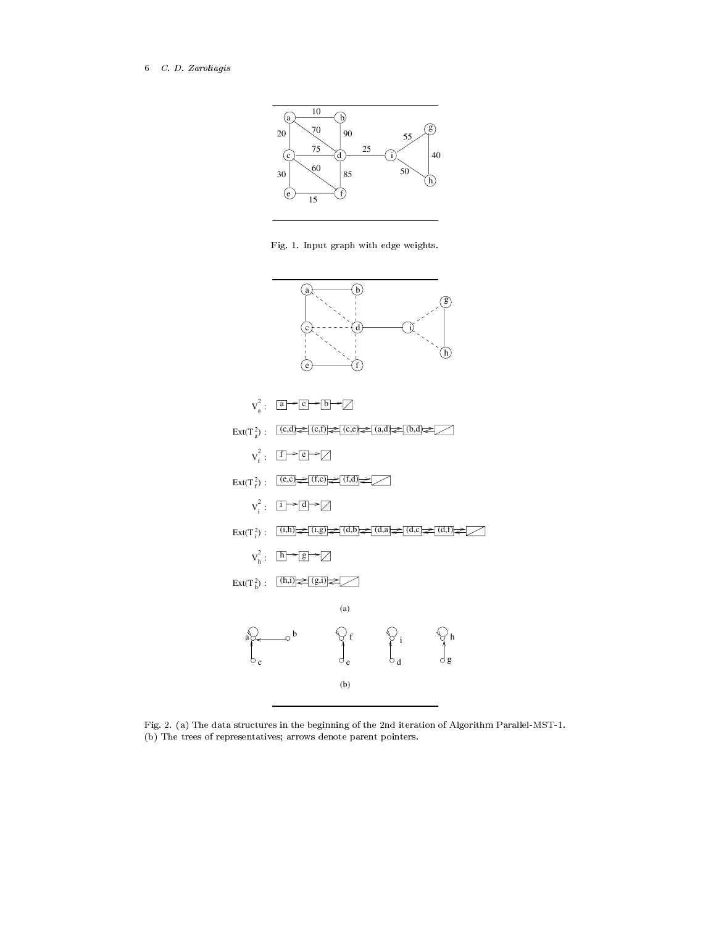## 6 C.D. Zaroliagis



 $\mathbf{F}$  is a strategies with the contract with edge weights  $\mathbf{F}$ 



Fig. a The data structures in the beginning of  $M$  and  $M$  and  $M$ (b) The trees of representatives; arrows denote parent pointers.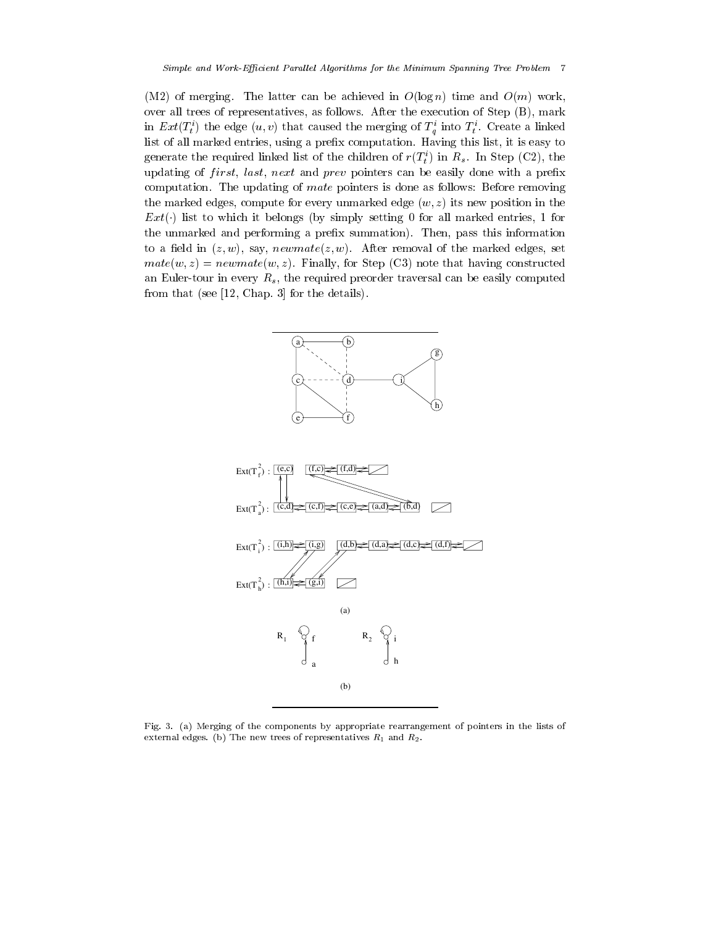M of merging The latter can be achieved in Olog n time and Om work over all trees of representatives, as follows. After the execution of Step  $(B)$ , mark in  $Ext(t_t)$  the edge  $(u, v)$  that caused the merging of  $T_q$  filled  $T_t$ . Create a linked list of all marked entries, using a prefix computation. Having this list, it is easy to generate the required linked list of the children of  $r(\tau_{t})$  in  $R_{s}$ . In step (Cz), the updating of *first*, *last*, *next* and *prev* pointers can be easily done with a prefix computation. The updating of *mate* pointers is done as follows: Before removing the marked edges, compute for every unmarked edge  $(w, z)$  its new position in the  $Ext(\cdot)$  has to which it belongs (by simply setting 0 for all marked entries, 1 for the unmarked and performing a prefix summation). Then, pass this information to a field in  $(z, w)$ , say, newmate $(z, w)$ . After removal of the marked edges, set  $mate(w, z) = newmate(w, z)$ . Finally, for Step (C3) note that having constructed an Euler-tour in every  $R_s$ , the required preorder traversal can be easily computed **from the see -** details the details of the details of the details of the details of the details of the details o



Fig- 
- a Merging of the components by appropriate rearrangement of pointers in the lists of external edges- b The new trees of representatives R and R-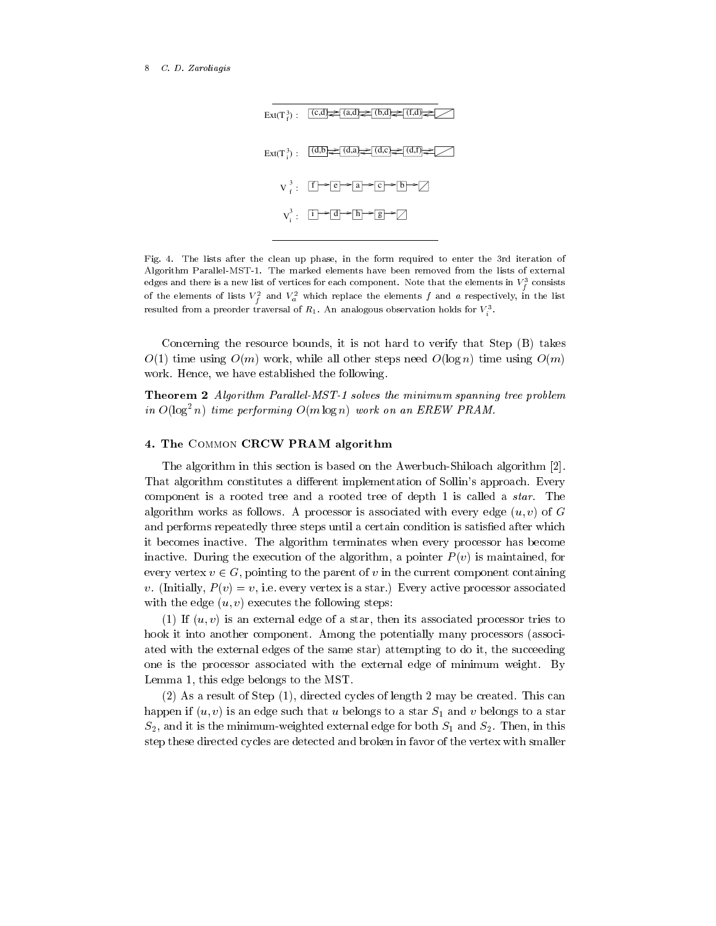

Fig- - The lists after the clean up phase in the form required to enter the rd iteration of  $A$ lgorithm Parallelmstein  $P$ edges and there is a new list of vertices for each component. Note that the elements in  $v_f^-$  consists of the elements of lists  $V_f^{\pi}$  and  $V_a^{\pi}$  which replace the elements f and a respectively, in the list resulted from a preorder traversal of  $R_1$ . An analogous observation holds for  $V_i$ 

in a company of the company of the company of the company of the company of the company of the company of the company of the company of the company of the company of the company of the company of the company of the company

Concerning the resource bounds, it is not hard to verify that  $Step (B)$  takes O-, time with O-, while all other steps need O-, time using O-, while  $\alpha$ work. Hence, we have established the following.

Theorem Algorithm Paral lel-MST- solves the minimum spanning tree problem in  $O(\log^2 n)$  time performing  $O(m \log n)$  work on an EREW PRAM.

## - The Common CRCW PRAM algorithm

The algorithm in this section is based on the AwerbuchShiloach algorithm is based on the AwerbuchShiloach algorithm in the AwerbuchShiloach algorithm is based on the AwerbuchShiloach algorithm in the AwerbuchShiloach algo That algorithm constitutes a different implementation of Sollin's approach. Every component is a rooted tree and a rooted tree of depth - is called a start and a star Theory algorithm works as follows. A processor is associated with every edge  $(u, v)$  of G and performs repeatedly three steps until a certain condition is satisfied after which it becomes inactive The algorithm terminates when every processor has become inactive. During the execution of the algorithm, a pointer  $P(v)$  is maintained, for every vertex  $v \in G$ , pointing to the parent of v in the current component containing v. (Initially,  $P(v) = v$ , i.e. every vertex is a star.) Every active processor associated with the edge  $(u, v)$  executes the following steps:

- If u v is an external edge of a star then its associated processor tries to hook it into another component. Among the potentially many processors (associated with the external edges of the same star) attempting to do it, the succeeding one is the processor associated with the external edge of minimum weight. By Lemma - this edge belongs to the MST

 $\mathcal{A} = \mathcal{A}$  . This can consider the construction of  $\mathcal{A}$  and  $\mathcal{A}$  are constructed to  $\mathcal{A}$  . This can consider the construction of  $\mathcal{A}$ happen if us is an edge such that use that use to a start  $\alpha$  and v belongs to a start  $\alpha$  and vertex to a start of S- and it is the minimumweighted external edge for both S and S- Then in this step these directed cycles are detected and broken in favor of the vertex with smaller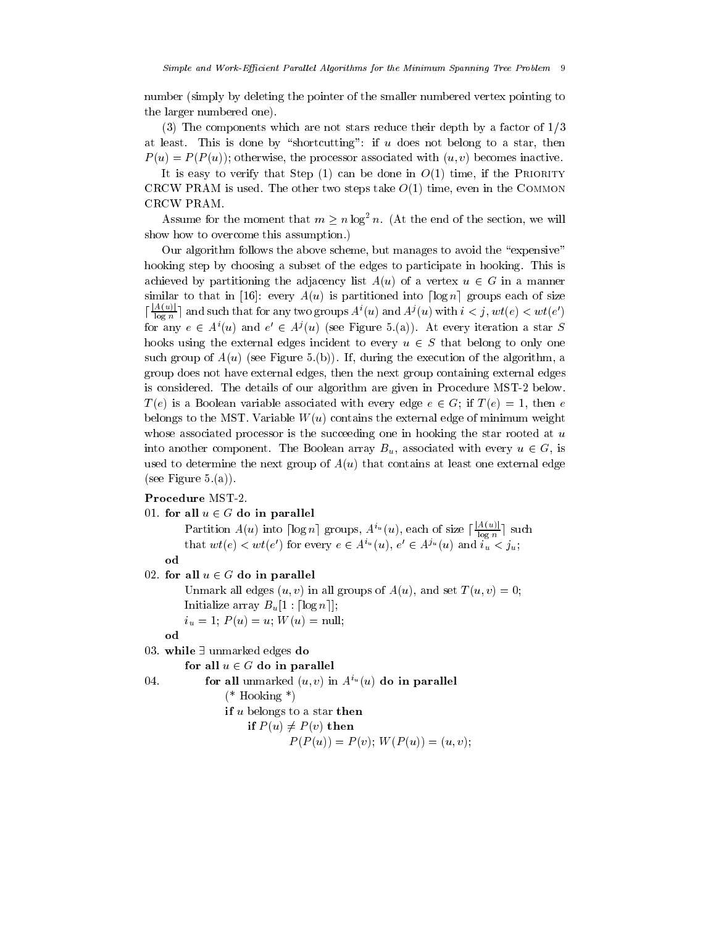number (simply by deleting the pointer of the smaller numbered vertex pointing to the larger numbered one

 $\mathcal{T}_{\mathcal{P}}$  components which are not stars reduced the factor of  $\mathcal{P}$  and  $\mathcal{P}$  are  $\mathcal{P}$ at least. This is done by "shortcutting": if  $u$  does not belong to a star, then  $P(u) = P(P(u))$ ; otherwise, the processor associated with  $(u, v)$  becomes inactive.

is is easy to verify the Step (2) that it does no do (2) that if the Priority of the Priority of CRCW PRAM is used The other two steps take O- time even in the Common CRCW PRAM

Assume for the moment that  $m \ge n \log^2 n$ . (At the end of the section, we will show how to overcome this assumption.)

Our algorithm follows the above scheme, but manages to avoid the "expensive" hooking step by choosing a subset of the edges to participate in hooking. This is achieved by partitioning the adjacency list  $A(u)$  of a vertex  $u \in G$  in a manner similar to that in [16]: every  $A(u)$  is partitioned into  $\lceil \log n \rceil$  groups each of size  $\left[\frac{A(u)}{\log n}\right]$  and  $\frac{A(u)|}{\log n}$  and such that for any two groups  $A^i(u)$  and  $A^j(u)$  with  $i < j$ ,  $wt(e) < wt(e')$ for any  $e \in A'(u)$  and  $e' \in A'(u)$  (see Figure 5.(a)). At every iteration a star S hooks using the external edges incident to every  $u \in S$  that belong to only one such group of  $A(u)$  (see Figure 5.(b)). If, during the execution of the algorithm, a group does not have external edges then the next group containing external edges is considered The details of our algorithm are given in Procedure MST below  $T(e)$  is a Boolean variable associated with every edge  $e \in G$ ; if  $T(e) = 1$ , then e belongs to the MST. Variable  $W(u)$  contains the external edge of minimum weight whose associated processor is the succeeding one in hooking the star rooted at  $u$ into another component. The Boolean array  $B_u$ , associated with every  $u \in G$ , is used to determine the next group of  $A(u)$  that contains at least one external edge  $(see Figure 5.(a)).$ 

#### $01.$  for all  $u \in G$  do in parallel

Partition  $A(u)$  into  $\lceil \log n \rceil$  groups,  $A^{i_u}(u)$ , each of size  $\lceil \frac{A(u)}{\log n} \rceil$  su  $\frac{A(u)}{\log n}$  such that  $wt(e) < wt(e')$  for every  $e \in A^{i_u}(u), e' \in A^{j_u}(u)$  and  $i_u < j_u$ ;

od

## $02$  for all  $u \in G$  do in parallel

Unmark all edges  $(u, v)$  in all groups of  $A(u)$ , and set  $T(u, v) = 0$ ; Initialize array  $B_u[1 : \lceil \log n \rceil];$ iu – i – (--) – --i i i (--) – ––––––i

od

# 03. while  $\exists$  unmarked edges do

#### for all  $u \in G$  do in parallel

```
04. for all unmarked (u, v) in A (u) do in parallel
            (* Hooking *)
```
if  $u$  belongs to a star then if  $P(u) \neq P(v)$  then

$$
P(P(u)) = P(v); W(P(u)) = (u, v);
$$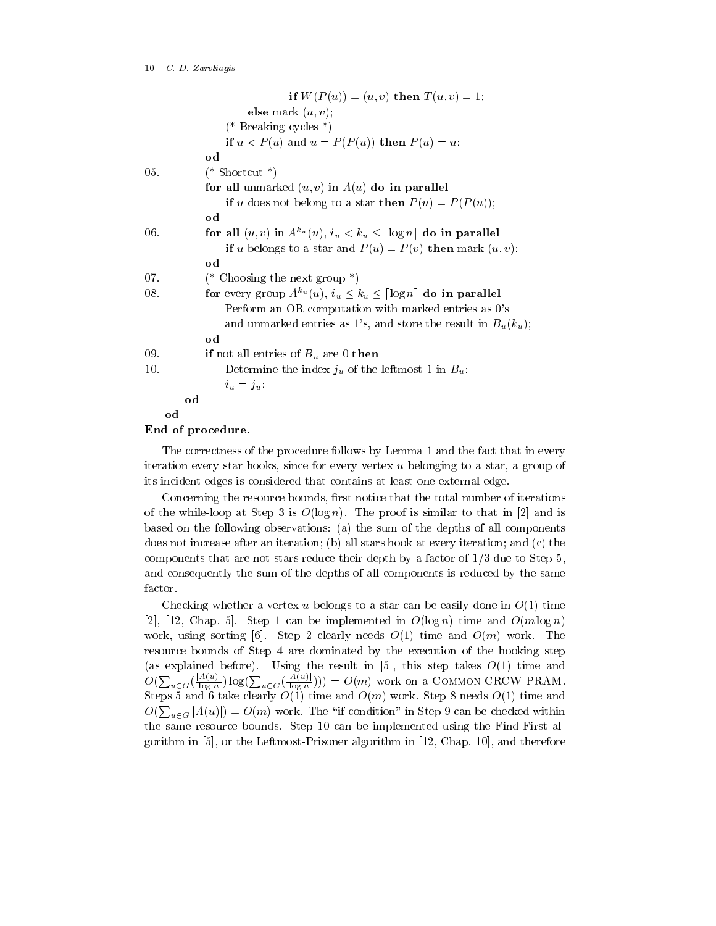|     | if $W(P(u)) = (u, v)$ then $T(u, v) = 1$ ;                                              |
|-----|-----------------------------------------------------------------------------------------|
|     | else mark $(u, v)$ ;                                                                    |
|     | (* Breaking cycles *)                                                                   |
|     | if $u < P(u)$ and $u = P(P(u))$ then $P(u) = u$ ;                                       |
|     | od                                                                                      |
| 05. | $(*$ Shortcut $*)$                                                                      |
|     | for all unmarked $(u, v)$ in $A(u)$ do in parallel                                      |
|     | if u does not belong to a star then $P(u) = P(P(u))$ ;                                  |
|     | od                                                                                      |
| 06. | for all $(u, v)$ in $A^{k_u}(u)$ , $i_u < k_u \leq \lceil \log n \rceil$ do in parallel |
|     | if u belongs to a star and $P(u) = P(v)$ then mark $(u, v)$ ;                           |
|     | od                                                                                      |
| 07. | (* Choosing the next group $*)$                                                         |
| 08. | for every group $A^{k_u}(u)$ , $i_u \leq k_u \leq \lceil \log n \rceil$ do in parallel  |
|     | Perform an OR computation with marked entries as 0's                                    |
|     | and unmarked entries as 1's, and store the result in $B_u(k_u)$ ;                       |
|     | od                                                                                      |
| 09. | if not all entries of $B_u$ are 0 then                                                  |
| 10. | Determine the index $j_u$ of the leftmost 1 in $B_u$ ;                                  |
|     | $i_u = j_u$                                                                             |
|     | od                                                                                      |
| od  |                                                                                         |

## End of procedure-

The correctness of the procedure follows by Lemma - and the fact that in every iteration every star hooks, since for every vertex  $u$  belonging to a star, a group of its incident edges is considered that contains at least one external edge

Concerning the resource bounds, first notice that the total number of iterations of the while while while  $\mathcal{M}$  is defined in The proof is similar to that in the proof is similar to that in the proof is similar to that in the proof is similar to that in the proof is similar to that in the proof is based on the following observations: (a) the sum of the depths of all components does not increase after an iteration; (b) all stars hook at every iteration; and  $(c)$  the components that are not stars reduce that are depth by a factor of -1 a way to Step at and consequently the sum of the depths of all components is reduced by the same factor

Checking whether a vertex u belongs to a star can be easily done in O- time it it is a complement of the international control of the complete in  $\alpha$  is a complete in  $\alpha$  in  $\alpha$ work using the sorting of the Step Step Step and Omnibus Communications of the Omnibus Communications of the O resource bounds of Step 4 are dominated by the execution of the hooking step  $O(\sum_{u \in G}(\frac{|A(u)|}{\log n})\log(\sum_{u \in G}(\frac{|A(u)|}{\log n}))) = O(m)$  work on a COMMON CRCW PRAM.  $\frac{A(u)}{\log n}$ )  $\log(\sum_{u \in G}(\frac{|A(u)|}{\log n}))) = O$ log n Om work on a Common CRCW PRAM steps a common clearly only times finds O-(111) where we cap a movem of  $\vert$  , there were a  $O(\sum_{u\in G}|A(u)|) = O(m)$  work. The "if-condition" in Step 9 can be checked within  $$ the same resource bounds Step - can be implemented using the FindFirst algebra  $\mathbf{f}$  $\mathbf{A}$  and the Leftmoster algorithm in -  $\mathbf{A}$  and therefore algorithm in -  $\mathbf{B}$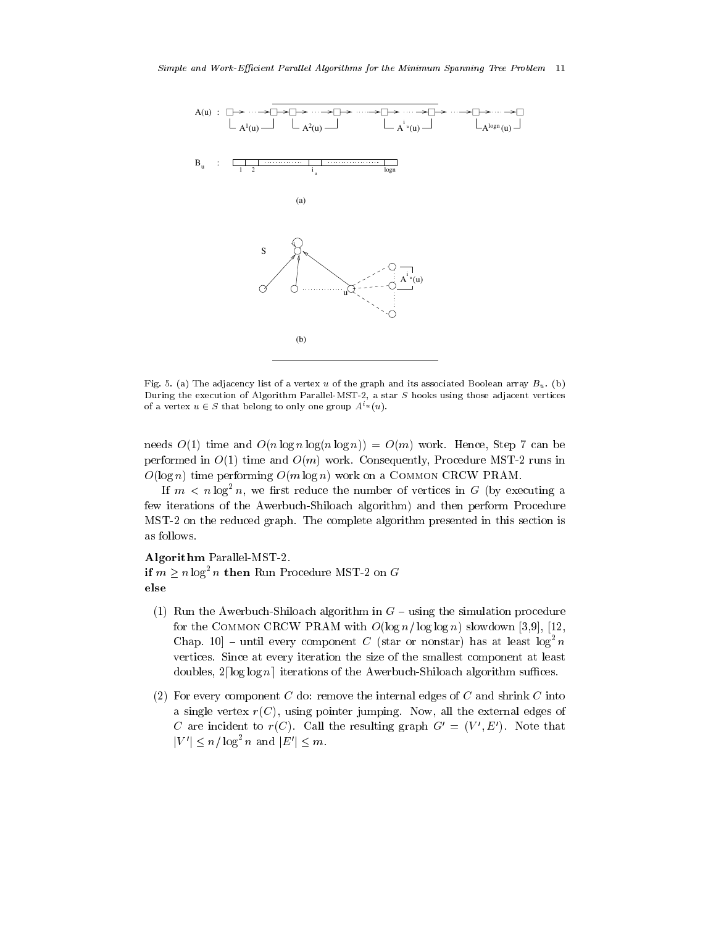

. The adjacency list of a vertex used the graph and its associated Boolean array Bu-Calledge Control and the g During the execution of Algorithm Parallel-MST-2, a star  $S$  hooks using those adjacent vertices of a vertex  $u \in S$  that belong to only one group  $A^{i u}(u)$ .

needs O-, and work O-, and A-, and O-, and O-, and O-, and O-, and O-, and O-, and O-, and O-, and O-, and O-, performed in O- time and Om work Consequently Procedure MST runs in  $O(\log n)$  time performing  $O(m \log n)$  work on a COMMON CRCW PRAM.

If  $m < n \log^2 n$ , we first reduce the number of vertices in G (by executing a few iterations of the Awerbuch-Shiloach algorithm) and then perform Procedure  $\mathbf M$  on the reduced graph Theorem The complete algorithm presented in this section is section in this section is seen for the complete algorithm presented in the complete algorithm presented in this section is seen for as follows

#### Algorithm ParallelMST

if  $m \geq n \log^2 n$  then Run Procedure MST-2 on G

- $R$  Run the AwerbuchShiloach algorithm in G  $R$  is a simulation procedure procedure procedure procedure procedure procedure procedure procedure procedure procedure procedure procedure procedure procedure procedure proce for the Common CRCW PRAM with Olog n- log log n slowdown - Unap. 10 - until every component  $C$  (star or nonstar) has at least log-  $n$ vertices. Since at every iteration the size of the smallest component at least doubles,  $2\lceil\log\log n\rceil$  iterations of the Awerbuch-Shiloach algorithm suffices.
- For every component C do remove the internal edges of C and shrink C into a single vertex  $r(C)$ , using pointer jumping. Now, all the external edges of C are incident to  $r(C)$ . Call the resulting graph  $G' = (V', E')$ . Note that  $|V'| \leq n/\log^2 n$  and  $|E'| \leq m$ .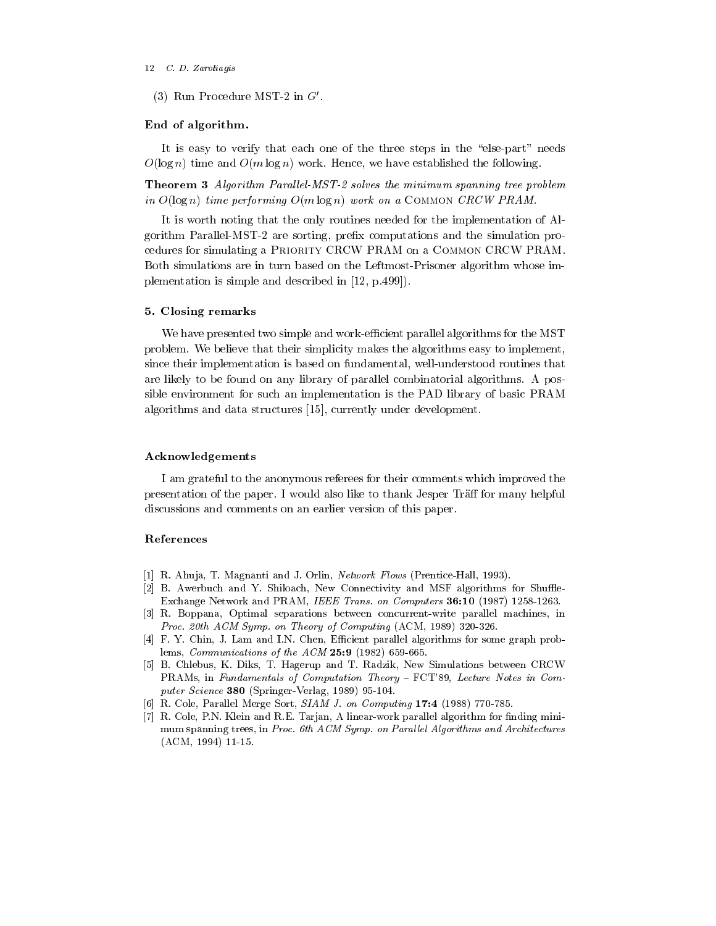#### 12 C.D. Zaroliagis

(5) Follow Procedure MST-2 in G

## End of algorithm-

It is easy to verify that each one of the three steps in the "else-part" needs  $O(\log n)$  time and  $O(m \log n)$  work. Hence, we have established the following.

Theorem Algorithm Paral lel-MST- solves the minimum spanning tree problem in  $O(\log n)$  time performing  $O(m \log n)$  work on a COMMON CRCW PRAM.

It is worth noting that the only routines needed for the implementation of Al  $\mathbf P$  are sorting press computations and the simulations and the simulation problem problem problem problem problem problem problem problem problem problem problem problem problem problem problem problem problem problem cedures for simulating a PRIORITY CRCW PRAM on a COMMON CRCW PRAM. Both simulations are in turn based on the Leftmost-Prisoner algorithm whose implementation is simple and described in - and described in - and described in - and described in - and described in - and described in - and described in - and described in - and described in - and described in - and descr

#### - Closing remarks

We have presented two simple and work-efficient parallel algorithms for the MST problem We believe that their simplicity makes the algorithms easy to implement since their implementation is based on fundamental, well-understood routines that are likely to be found on any library of parallel combinatorial algorithms A pos sible environment for such an implementation is the PAD library of basic PRAM algorithms and data structures - currently under development

# Acknowledgements

I am grateful to the anonymous referees for their comments which improved the presentation of the paper. I would also like to thank Jesper Traff for many helpful discussions and comments on an earlier version of this paper

## References

- R Ahuja T Magnanti and J Orlin Network Flows PrenticeHall
- B Awerbuch and Y Shiloach New Connectivity and MSF algorithms for Shue Exchange Network and PRAM IEEE Trans on Computers -
- R Boppana Optimal separations between concurrentwrite parallel machines in Proc -th ACM Symp on Theory of Computing ACM
- F Y Chin J Lam and IN Chen Ecient parallel algorithms for some graph prob lems Communications of the ACM -
- is the changer and the changer and T Radio Creative Communications between CRCW in the Creative Creative Creative Creative Creative Creative Creative Creative Creative Creative Creative Creative Creative Creative Creative PRAMs, in Fundamentals of Computation Theory - FCT'89, Lecture Notes in Computer Science 380 (Springer-Verlag, 1989) 95-104.
- R Cole Parallel Merge Sort SIAM J on Computing -
- R Cole PN Klein and RE Tarjan A linearwork parallel algorithm for nding mini mum spanning trees, in Proc. 6th ACM Symp. on Parallel Algorithms and Architectures  $(ACM, 1994)$  11-15.